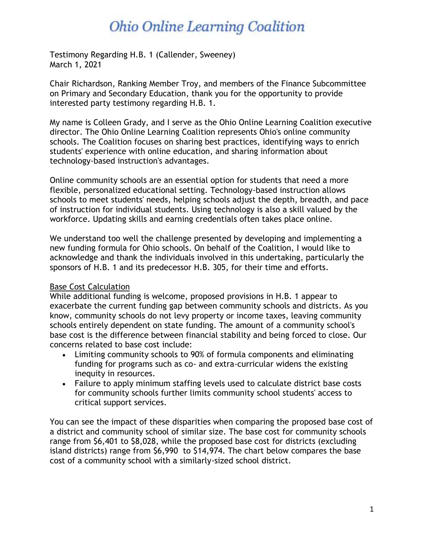# **Ohio Online Learning Coalition**

Testimony Regarding H.B. 1 (Callender, Sweeney) March 1, 2021

Chair Richardson, Ranking Member Troy, and members of the Finance Subcommittee on Primary and Secondary Education, thank you for the opportunity to provide interested party testimony regarding H.B. 1.

My name is Colleen Grady, and I serve as the Ohio Online Learning Coalition executive director. The Ohio Online Learning Coalition represents Ohio's online community schools. The Coalition focuses on sharing best practices, identifying ways to enrich students' experience with online education, and sharing information about technology-based instruction's advantages.

Online community schools are an essential option for students that need a more flexible, personalized educational setting. Technology-based instruction allows schools to meet students' needs, helping schools adjust the depth, breadth, and pace of instruction for individual students. Using technology is also a skill valued by the workforce. Updating skills and earning credentials often takes place online.

We understand too well the challenge presented by developing and implementing a new funding formula for Ohio schools. On behalf of the Coalition, I would like to acknowledge and thank the individuals involved in this undertaking, particularly the sponsors of H.B. 1 and its predecessor H.B. 305, for their time and efforts.

## Base Cost Calculation

While additional funding is welcome, proposed provisions in H.B. 1 appear to exacerbate the current funding gap between community schools and districts. As you know, community schools do not levy property or income taxes, leaving community schools entirely dependent on state funding. The amount of a community school's base cost is the difference between financial stability and being forced to close. Our concerns related to base cost include:

- Limiting community schools to 90% of formula components and eliminating funding for programs such as co- and extra-curricular widens the existing inequity in resources.
- Failure to apply minimum staffing levels used to calculate district base costs for community schools further limits community school students' access to critical support services.

You can see the impact of these disparities when comparing the proposed base cost of a district and community school of similar size. The base cost for community schools range from \$6,401 to \$8,028, while the proposed base cost for districts (excluding island districts) range from \$6,990 to \$14,974. The chart below compares the base cost of a community school with a similarly-sized school district.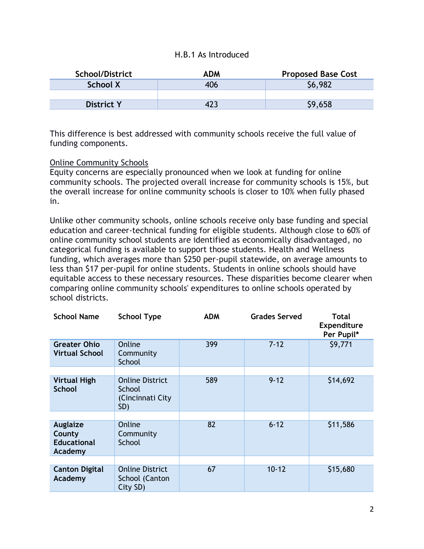### H.B.1 As Introduced

| <b>School/District</b> | ADM | <b>Proposed Base Cost</b> |
|------------------------|-----|---------------------------|
| School X               | 406 | \$6,982                   |
|                        |     |                           |
| <b>District Y</b>      |     | \$9,658                   |

This difference is best addressed with community schools receive the full value of funding components.

### Online Community Schools

Equity concerns are especially pronounced when we look at funding for online community schools. The projected overall increase for community schools is 15%, but the overall increase for online community schools is closer to 10% when fully phased in.

Unlike other community schools, online schools receive only base funding and special education and career-technical funding for eligible students. Although close to 60% of online community school students are identified as economically disadvantaged, no categorical funding is available to support those students. Health and Wellness funding, which averages more than \$250 per-pupil statewide, on average amounts to less than \$17 per-pupil for online students. Students in online schools should have equitable access to these necessary resources. These disparities become clearer when comparing online community schools' expenditures to online schools operated by school districts.

| <b>School Name</b>                                  | <b>School Type</b>                                           | <b>ADM</b> | <b>Grades Served</b> | <b>Total</b><br><b>Expenditure</b><br>Per Pupil* |
|-----------------------------------------------------|--------------------------------------------------------------|------------|----------------------|--------------------------------------------------|
| <b>Greater Ohio</b><br><b>Virtual School</b>        | Online<br>Community<br>School                                | 399        | $7 - 12$             | \$9,771                                          |
|                                                     |                                                              |            |                      |                                                  |
| <b>Virtual High</b><br><b>School</b>                | <b>Online District</b><br>School<br>(Cincinnati City)<br>SD) | 589        | $9 - 12$             | \$14,692                                         |
|                                                     |                                                              |            |                      |                                                  |
| Auglaize<br>County<br><b>Educational</b><br>Academy | Online<br>Community<br>School                                | 82         | $6 - 12$             | \$11,586                                         |
|                                                     |                                                              |            |                      |                                                  |
| <b>Canton Digital</b><br>Academy                    | <b>Online District</b><br>School (Canton<br>City SD)         | 67         | $10 - 12$            | \$15,680                                         |